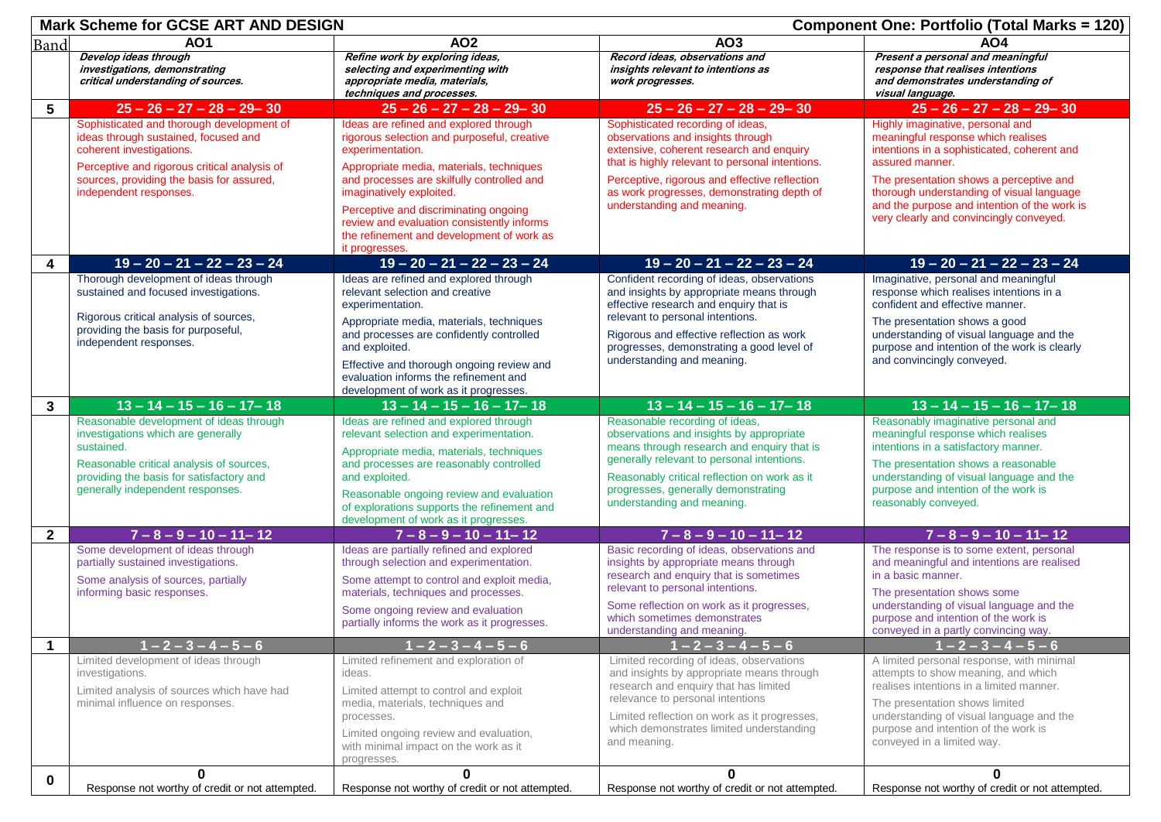|              | <b>Mark Scheme for GCSE ART AND DESIGN</b>                                                                                                                                                                                           |                                                                                                                                                                                                                                                                                                                                                                         |                                                                                                                                                                                                                                                                                                                                | <b>Component One: Portfolio (Total Marks = 120)</b>                                                                                                                                                                                                                                                                         |  |  |
|--------------|--------------------------------------------------------------------------------------------------------------------------------------------------------------------------------------------------------------------------------------|-------------------------------------------------------------------------------------------------------------------------------------------------------------------------------------------------------------------------------------------------------------------------------------------------------------------------------------------------------------------------|--------------------------------------------------------------------------------------------------------------------------------------------------------------------------------------------------------------------------------------------------------------------------------------------------------------------------------|-----------------------------------------------------------------------------------------------------------------------------------------------------------------------------------------------------------------------------------------------------------------------------------------------------------------------------|--|--|
| Band         | <b>AO1</b>                                                                                                                                                                                                                           | AO <sub>2</sub>                                                                                                                                                                                                                                                                                                                                                         | AO3                                                                                                                                                                                                                                                                                                                            | <b>AO4</b>                                                                                                                                                                                                                                                                                                                  |  |  |
|              | Develop ideas through<br>investigations, demonstrating<br>critical understanding of sources.                                                                                                                                         | Refine work by exploring ideas,<br>selecting and experimenting with<br>appropriate media, materials,<br>techniques and processes.                                                                                                                                                                                                                                       | Record ideas, observations and<br>insights relevant to intentions as<br>work progresses.                                                                                                                                                                                                                                       | Present a personal and meaningful<br>response that realises intentions<br>and demonstrates understanding of<br>visual language.                                                                                                                                                                                             |  |  |
| 5            | $25 - 26 - 27 - 28 - 29 - 30$                                                                                                                                                                                                        | $25 - 26 - 27 - 28 - 29 - 30$                                                                                                                                                                                                                                                                                                                                           | $25 - 26 - 27 - 28 - 29 - 30$                                                                                                                                                                                                                                                                                                  | $25 - 26 - 27 - 28 - 29 - 30$                                                                                                                                                                                                                                                                                               |  |  |
|              | Sophisticated and thorough development of<br>ideas through sustained, focused and<br>coherent investigations.<br>Perceptive and rigorous critical analysis of<br>sources, providing the basis for assured,<br>independent responses. | Ideas are refined and explored through<br>rigorous selection and purposeful, creative<br>experimentation.<br>Appropriate media, materials, techniques<br>and processes are skilfully controlled and<br>imaginatively exploited.<br>Perceptive and discriminating ongoing<br>review and evaluation consistently informs<br>the refinement and development of work as     | Sophisticated recording of ideas,<br>observations and insights through<br>extensive, coherent research and enquiry<br>that is highly relevant to personal intentions.<br>Perceptive, rigorous and effective reflection<br>as work progresses, demonstrating depth of<br>understanding and meaning.                             | Highly imaginative, personal and<br>meaningful response which realises<br>intentions in a sophisticated, coherent and<br>assured manner.<br>The presentation shows a perceptive and<br>thorough understanding of visual language<br>and the purpose and intention of the work is<br>very clearly and convincingly conveyed. |  |  |
|              |                                                                                                                                                                                                                                      | it progresses.                                                                                                                                                                                                                                                                                                                                                          |                                                                                                                                                                                                                                                                                                                                |                                                                                                                                                                                                                                                                                                                             |  |  |
| 4            | $19 - 20 - 21 - 22 - 23 - 24$<br>Thorough development of ideas through<br>sustained and focused investigations.<br>Rigorous critical analysis of sources,<br>providing the basis for purposeful,<br>independent responses.           | $19 - 20 - 21 - 22 - 23 - 24$<br>Ideas are refined and explored through<br>relevant selection and creative<br>experimentation.<br>Appropriate media, materials, techniques<br>and processes are confidently controlled<br>and exploited.<br>Effective and thorough ongoing review and<br>evaluation informs the refinement and<br>development of work as it progresses. | $19 - 20 - 21 - 22 - 23 - 24$<br>Confident recording of ideas, observations<br>and insights by appropriate means through<br>effective research and enquiry that is<br>relevant to personal intentions.<br>Rigorous and effective reflection as work<br>progresses, demonstrating a good level of<br>understanding and meaning. | $19 - 20 - 21 - 22 - 23 - 24$<br>Imaginative, personal and meaningful<br>response which realises intentions in a<br>confident and effective manner.<br>The presentation shows a good<br>understanding of visual language and the<br>purpose and intention of the work is clearly<br>and convincingly conveyed.              |  |  |
| 3            | $13 - 14 - 15 - 16 - 17 - 18$                                                                                                                                                                                                        | $13 - 14 - 15 - 16 - 17 - 18$                                                                                                                                                                                                                                                                                                                                           | $13 - 14 - 15 - 16 - 17 - 18$                                                                                                                                                                                                                                                                                                  | $13 - 14 - 15 - 16 - 17 - 18$                                                                                                                                                                                                                                                                                               |  |  |
|              | Reasonable development of ideas through<br>investigations which are generally<br>sustained.<br>Reasonable critical analysis of sources,<br>providing the basis for satisfactory and<br>generally independent responses.              | Ideas are refined and explored through<br>relevant selection and experimentation.<br>Appropriate media, materials, techniques<br>and processes are reasonably controlled<br>and exploited.<br>Reasonable ongoing review and evaluation<br>of explorations supports the refinement and<br>development of work as it progresses.                                          | Reasonable recording of ideas,<br>observations and insights by appropriate<br>means through research and enquiry that is<br>generally relevant to personal intentions.<br>Reasonably critical reflection on work as it<br>progresses, generally demonstrating<br>understanding and meaning.                                    | Reasonably imaginative personal and<br>meaningful response which realises<br>intentions in a satisfactory manner.<br>The presentation shows a reasonable<br>understanding of visual language and the<br>purpose and intention of the work is<br>reasonably conveyed.                                                        |  |  |
| $\mathbf{2}$ | $7 - 8 - 9 - 10 - 11 - 12$                                                                                                                                                                                                           | $7 - 8 - 9 - 10 - 11 - 12$                                                                                                                                                                                                                                                                                                                                              | $7 - 8 - 9 - 10 - 11 - 12$                                                                                                                                                                                                                                                                                                     | $7 - 8 - 9 - 10 - 11 - 12$                                                                                                                                                                                                                                                                                                  |  |  |
| 1            | Some development of ideas through<br>partially sustained investigations.<br>Some analysis of sources, partially<br>informing basic responses.<br>$1 - 2 - 3 - 4 - 5 - 6$                                                             | Ideas are partially refined and explored<br>through selection and experimentation.<br>Some attempt to control and exploit media,<br>materials, techniques and processes.<br>Some ongoing review and evaluation<br>partially informs the work as it progresses.<br>$1 - 2 - 3 - 4 - 5 - 6$                                                                               | Basic recording of ideas, observations and<br>insights by appropriate means through<br>research and enquiry that is sometimes<br>relevant to personal intentions.<br>Some reflection on work as it progresses,<br>which sometimes demonstrates<br>understanding and meaning.<br>$1 - 2 - 3 - 4 - 5 - 6$                        | The response is to some extent, personal<br>and meaningful and intentions are realised<br>in a basic manner.<br>The presentation shows some<br>understanding of visual language and the<br>purpose and intention of the work is<br>conveyed in a partly convincing way.<br>$1 - 2 - 3 - 4 - 5 - 6$                          |  |  |
|              | Limited development of ideas through                                                                                                                                                                                                 | Limited refinement and exploration of                                                                                                                                                                                                                                                                                                                                   | Limited recording of ideas, observations                                                                                                                                                                                                                                                                                       | A limited personal response, with minimal                                                                                                                                                                                                                                                                                   |  |  |
|              | investigations.<br>Limited analysis of sources which have had<br>minimal influence on responses.<br>0                                                                                                                                | ideas.<br>Limited attempt to control and exploit<br>media, materials, techniques and<br>processes.<br>Limited ongoing review and evaluation,<br>with minimal impact on the work as it<br>progresses.<br>$\mathbf{0}$                                                                                                                                                    | and insights by appropriate means through<br>research and enquiry that has limited<br>relevance to personal intentions<br>Limited reflection on work as it progresses,<br>which demonstrates limited understanding<br>and meaning.<br>$\mathbf{0}$                                                                             | attempts to show meaning, and which<br>realises intentions in a limited manner.<br>The presentation shows limited<br>understanding of visual language and the<br>purpose and intention of the work is<br>conveyed in a limited way.<br>$\bf{0}$                                                                             |  |  |
| $\bf{0}$     | Response not worthy of credit or not attempted.                                                                                                                                                                                      | Response not worthy of credit or not attempted.                                                                                                                                                                                                                                                                                                                         | Response not worthy of credit or not attempted.                                                                                                                                                                                                                                                                                | Response not worthy of credit or not attempted.                                                                                                                                                                                                                                                                             |  |  |